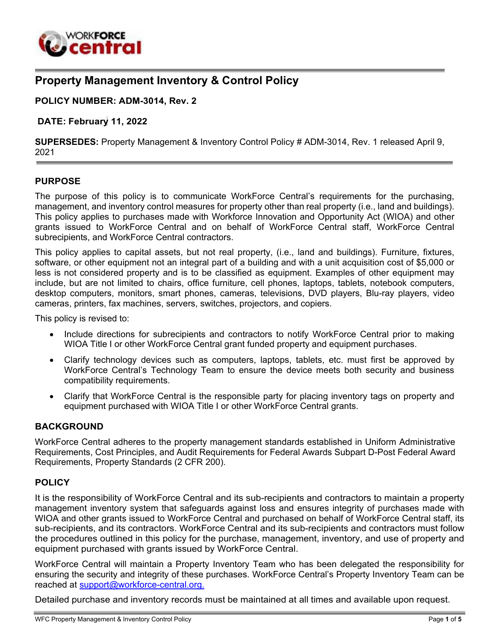

# **Property Management Inventory & Control Policy**

#### **POLICY NUMBER: ADM-3014, Rev. 2**

#### **DATE: February 11, 2022**

**SUPERSEDES:** Property Management & Inventory Control Policy # ADM-3014, Rev. 1 released April 9, 2021

#### **PURPOSE**

The purpose of this policy is to communicate WorkForce Central's requirements for the purchasing, management, and inventory control measures for property other than real property (i.e., land and buildings). This policy applies to purchases made with Workforce Innovation and Opportunity Act (WIOA) and other grants issued to WorkForce Central and on behalf of WorkForce Central staff, WorkForce Central subrecipients, and WorkForce Central contractors.

This policy applies to capital assets, but not real property, (i.e., land and buildings). Furniture, fixtures, software, or other equipment not an integral part of a building and with a unit acquisition cost of \$5,000 or less is not considered property and is to be classified as equipment. Examples of other equipment may include, but are not limited to chairs, office furniture, cell phones, laptops, tablets, notebook computers, desktop computers, monitors, smart phones, cameras, televisions, DVD players, Blu-ray players, video cameras, printers, fax machines, servers, switches, projectors, and copiers.

This policy is revised to:

- Include directions for subrecipients and contractors to notify WorkForce Central prior to making WIOA Title I or other WorkForce Central grant funded property and equipment purchases.
- Clarify technology devices such as computers, laptops, tablets, etc. must first be approved by WorkForce Central's Technology Team to ensure the device meets both security and business compatibility requirements.
- Clarify that WorkForce Central is the responsible party for placing inventory tags on property and equipment purchased with WIOA Title I or other WorkForce Central grants.

#### **BACKGROUND**

WorkForce Central adheres to the property management standards established in Uniform Administrative Requirements, Cost Principles, and Audit Requirements for Federal Awards Subpart D-Post Federal Award Requirements, Property Standards (2 CFR 200).

#### **POLICY**

It is the responsibility of WorkForce Central and its sub-recipients and contractors to maintain a property management inventory system that safeguards against loss and ensures integrity of purchases made with WIOA and other grants issued to WorkForce Central and purchased on behalf of WorkForce Central staff, its sub-recipients, and its contractors. WorkForce Central and its sub-recipients and contractors must follow the procedures outlined in this policy for the purchase, management, inventory, and use of property and equipment purchased with grants issued by WorkForce Central.

WorkForce Central will maintain a Property Inventory Team who has been delegated the responsibility for ensuring the security and integrity of these purchases. WorkForce Central's Property Inventory Team can be reached at [support@workforce-central.org.](mailto:support@workforce-central.org)

Detailed purchase and inventory records must be maintained at all times and available upon request.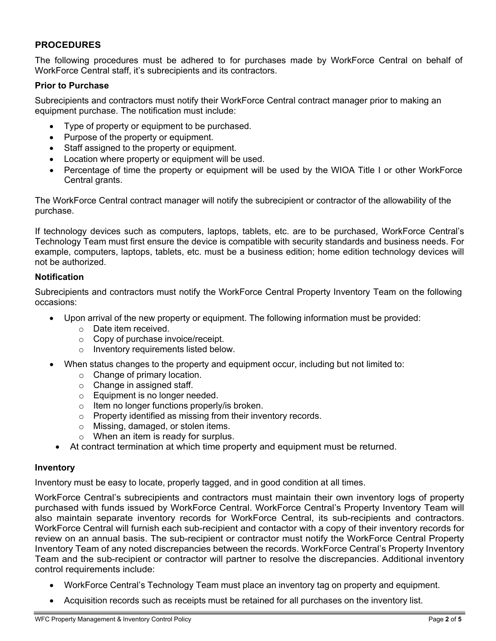## **PROCEDURES**

The following procedures must be adhered to for purchases made by WorkForce Central on behalf of WorkForce Central staff, it's subrecipients and its contractors.

## **Prior to Purchase**

Subrecipients and contractors must notify their WorkForce Central contract manager prior to making an equipment purchase. The notification must include:

- Type of property or equipment to be purchased.
- Purpose of the property or equipment.
- Staff assigned to the property or equipment.
- Location where property or equipment will be used.
- Percentage of time the property or equipment will be used by the WIOA Title I or other WorkForce Central grants.

The WorkForce Central contract manager will notify the subrecipient or contractor of the allowability of the purchase.

If technology devices such as computers, laptops, tablets, etc. are to be purchased, WorkForce Central's Technology Team must first ensure the device is compatible with security standards and business needs. For example, computers, laptops, tablets, etc. must be a business edition; home edition technology devices will not be authorized.

### **Notification**

Subrecipients and contractors must notify the WorkForce Central Property Inventory Team on the following occasions:

- Upon arrival of the new property or equipment. The following information must be provided:
	- o Date item received.
	- o Copy of purchase invoice/receipt.
	- o Inventory requirements listed below.
- When status changes to the property and equipment occur, including but not limited to:
	- o Change of primary location.
	- o Change in assigned staff.
	- o Equipment is no longer needed.
	- o Item no longer functions properly/is broken.
	- o Property identified as missing from their inventory records.
	- o Missing, damaged, or stolen items.
	- o When an item is ready for surplus.
	- At contract termination at which time property and equipment must be returned.

### **Inventory**

Inventory must be easy to locate, properly tagged, and in good condition at all times.

WorkForce Central's subrecipients and contractors must maintain their own inventory logs of property purchased with funds issued by WorkForce Central. WorkForce Central's Property Inventory Team will also maintain separate inventory records for WorkForce Central, its sub-recipients and contractors. WorkForce Central will furnish each sub-recipient and contactor with a copy of their inventory records for review on an annual basis. The sub-recipient or contractor must notify the WorkForce Central Property Inventory Team of any noted discrepancies between the records. WorkForce Central's Property Inventory Team and the sub-recipient or contractor will partner to resolve the discrepancies. Additional inventory control requirements include:

- WorkForce Central's Technology Team must place an inventory tag on property and equipment.
- Acquisition records such as receipts must be retained for all purchases on the inventory list.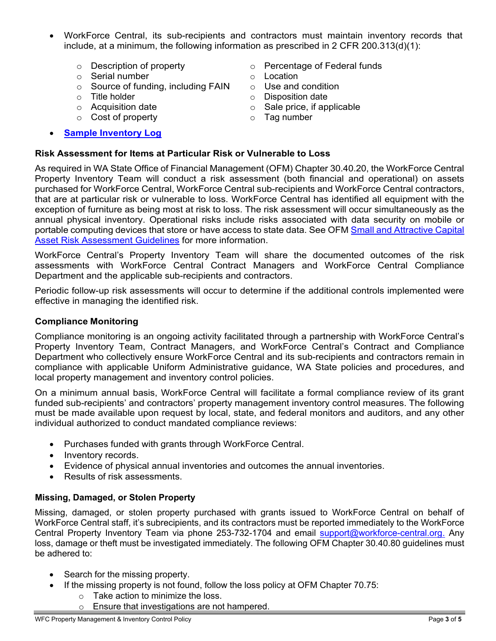- WorkForce Central, its sub-recipients and contractors must maintain inventory records that include, at a minimum, the following information as prescribed in 2 CFR 200.313(d)(1):
	-
	-
	- $\circ$  Serial number<br>  $\circ$  Source of funding. including FAIN  $\circ$  Use and condition  $\circ$  Source of funding, including FAIN  $\circ$  Title holder
	-
	-
	- $\circ$  Cost of property
- **Sample [Inventory](https://workforce-central.org/wp-content/uploads/2022/02/inventory-list_updated.xlsx) Log**
- o Description of property o Percentage of Federal funds
	-
	-
	-
- o Title holder on the solution of the Solisposition date<br>  $\circ$  Acquisition date on the Sale price, if app  $\circ$  Sale price, if applicable<br> $\circ$  Tag number
	-

## **Risk Assessment for Items at Particular Risk or Vulnerable to Loss**

As required in WA State Office of Financial Management (OFM) Chapter 30.40.20, the WorkForce Central Property Inventory Team will conduct a risk assessment (both financial and operational) on assets purchased for WorkForce Central, WorkForce Central sub-recipients and WorkForce Central contractors, that are at particular risk or vulnerable to loss. WorkForce Central has identified all equipment with the exception of furniture as being most at risk to loss. The risk assessment will occur simultaneously as the annual physical inventory. Operational risks include risks associated with data security on mobile or portable computing devices that store or have access to state data. See OFM Small and [Attractive](https://www.ofm.wa.gov/sites/default/files/public/legacy/resources/capital_assets/CAsmallattract.pdf) Capital [Asset Risk Assessment Guidelines](https://www.ofm.wa.gov/sites/default/files/public/legacy/resources/capital_assets/CAsmallattract.pdf) for more information.

WorkForce Central's Property Inventory Team will share the documented outcomes of the risk assessments with WorkForce Central Contract Managers and WorkForce Central Compliance Department and the applicable sub-recipients and contractors.

Periodic follow-up risk assessments will occur to determine if the additional controls implemented were effective in managing the identified risk.

#### **Compliance Monitoring**

Compliance monitoring is an ongoing activity facilitated through a partnership with WorkForce Central's Property Inventory Team, Contract Managers, and WorkForce Central's Contract and Compliance Department who collectively ensure WorkForce Central and its sub-recipients and contractors remain in compliance with applicable Uniform Administrative guidance, WA State policies and procedures, and local property management and inventory control policies.

On a minimum annual basis, WorkForce Central will facilitate a formal compliance review of its grant funded sub-recipients' and contractors' property management inventory control measures. The following must be made available upon request by local, state, and federal monitors and auditors, and any other individual authorized to conduct mandated compliance reviews:

- Purchases funded with grants through WorkForce Central.
- Inventory records.
- Evidence of physical annual inventories and outcomes the annual inventories.
- Results of risk assessments.

### **Missing, Damaged, or Stolen Property**

Missing, damaged, or stolen property purchased with grants issued to WorkForce Central on behalf of WorkForce Central staff, it's subrecipients, and its contractors must be reported immediately to the WorkForce Central Property Inventory Team via phone 253-732-1704 and email [support@workforce-central.org.](mailto:support@workforce-central.org) Any loss, damage or theft must be investigated immediately. The following OFM Chapter 30.40.80 guidelines must be adhered to:

- Search for the missing property.
- If the missing property is not found, follow the loss policy at OFM Chapter 70.75:
	- $\circ$  Take action to minimize the loss.
	- o Ensure that investigations are not hampered.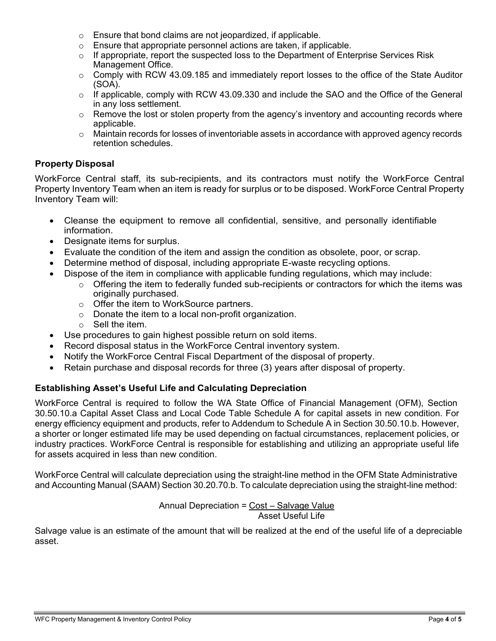- o Ensure that bond claims are not jeopardized, if applicable.
- o Ensure that appropriate personnel actions are taken, if applicable.
- o If appropriate, report the suspected loss to the Department of Enterprise Services Risk Management Office.
- $\circ$  Comply with RCW 43.09.185 and immediately report losses to the office of the State Auditor (SOA).
- $\circ$  If applicable, comply with RCW 43.09.330 and include the SAO and the Office of the General in any loss settlement.
- $\circ$  Remove the lost or stolen property from the agency's inventory and accounting records where applicable.
- $\circ$  Maintain records for losses of inventoriable assets in accordance with approved agency records retention schedules.

# **Property Disposal**

WorkForce Central staff, its sub-recipients, and its contractors must notify the WorkForce Central Property Inventory Team when an item is ready for surplus or to be disposed. WorkForce Central Property Inventory Team will:

- Cleanse the equipment to remove all confidential, sensitive, and personally identifiable information.
- Designate items for surplus.
- Evaluate the condition of the item and assign the condition as obsolete, poor, or scrap.
- Determine method of disposal, including appropriate E-waste recycling options.
- Dispose of the item in compliance with applicable funding regulations, which may include:
	- $\circ$  Offering the item to federally funded sub-recipients or contractors for which the items was originally purchased.
	- o Offer the item to WorkSource partners.
	- $\circ$  Donate the item to a local non-profit organization.
	- o Sell the item.
- Use procedures to gain highest possible return on sold items.
- Record disposal status in the WorkForce Central inventory system.
- Notify the WorkForce Central Fiscal Department of the disposal of property.
- Retain purchase and disposal records for three (3) years after disposal of property.

# **Establishing Asset's Useful Life and Calculating Depreciation**

WorkForce Central is required to follow the WA State Office of Financial Management (OFM), Section 30.50.10.a Capital Asset Class and Local Code Table Schedule A for capital assets in new condition. For energy efficiency equipment and products, refer to Addendum to Schedule A in Section 30.50.10.b. However, a shorter or longer estimated life may be used depending on factual circumstances, replacement policies, or industry practices. WorkForce Central is responsible for establishing and utilizing an appropriate useful life for assets acquired in less than new condition.

WorkForce Central will calculate depreciation using the straight-line method in the OFM State Administrative and Accounting Manual (SAAM) Section 30.20.70.b. To calculate depreciation using the straight-line method:

Annual Depreciation = Cost – Salvage Value Asset Useful Life

Salvage value is an estimate of the amount that will be realized at the end of the useful life of a depreciable asset.